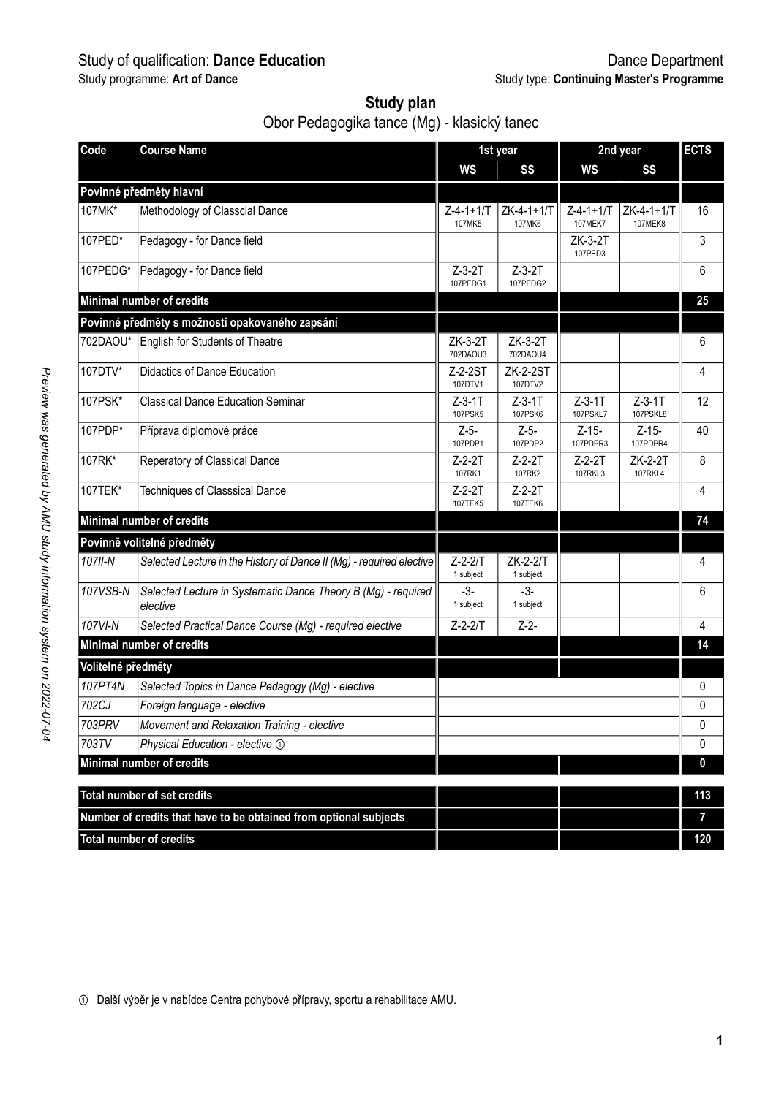# Study of qualification: **Dance Education** Dance Department

| Study plan                                  |
|---------------------------------------------|
| Obor Pedagogika tance (Mg) - klasický tanec |

| Code               | <b>Course Name</b>                                                        |                             | 1st year                   | 2nd year                     | <b>ECTS</b>            |              |
|--------------------|---------------------------------------------------------------------------|-----------------------------|----------------------------|------------------------------|------------------------|--------------|
|                    |                                                                           | ws                          | SS                         | ws                           | SS                     |              |
|                    | Povinné předměty hlavní                                                   |                             |                            |                              |                        |              |
| 107MK*             | Methodology of Classcial Dance                                            | $Z - 4 - 1 + 1/T$<br>107MK5 | ZK-4-1+1/T<br>107MK6       | $Z - 4 - 1 + 1/T$<br>107MEK7 | ZK-4-1+1/T<br>107MEK8  | 16           |
| 107PED*            | Pedagogy - for Dance field                                                |                             |                            | ZK-3-2T<br>107PFD3           |                        | 3            |
| 107PEDG*           | Pedagogy - for Dance field                                                | $Z-3-2T$<br>107PEDG1        | $Z-3-2T$<br>107PFDG2       |                              |                        | 6            |
|                    | Minimal number of credits                                                 |                             |                            |                              |                        | 25           |
|                    | Povinné předměty s možností opakovaného zapsání                           |                             |                            |                              |                        |              |
| 702DAOU*           | English for Students of Theatre                                           | ZK-3-2T<br>702DAOU3         | ZK-3-2T<br>702DAOU4        |                              |                        | 6            |
| 107DTV*            | Didactics of Dance Education                                              | Z-2-2ST<br>107DTV1          | <b>ZK-2-2ST</b><br>107DTV2 |                              |                        | 4            |
| 107PSK*            | <b>Classical Dance Education Seminar</b>                                  | $Z-3-1T$<br>107PSK5         | $Z-3-1T$<br>107PSK6        | $Z-3-1T$<br>107PSKL7         | $Z-3-1T$<br>107PSKL8   | 12           |
| 107PDP*            | Příprava diplomové práce                                                  | Z-5-<br>107PDP1             | $Z-5-$<br>107PDP2          | Z-15-<br>107PDPR3            | $Z - 15 -$<br>107PDPR4 | 40           |
| 107RK*             | Reperatory of Classical Dance                                             | Z-2-2T<br>107RK1            | $Z - 2 - 2T$<br>107RK2     | Z-2-2T<br>107RKI3            | ZK-2-2T<br>107RKI 4    | 8            |
| 107TEK*            | Techniques of Classsical Dance                                            | Z-2-2T<br>107TEK5           | $Z-2-2T$<br>107TFK6        |                              |                        | 4            |
|                    | Minimal number of credits                                                 |                             |                            |                              |                        | 74           |
|                    | Povinně volitelné předměty                                                |                             |                            |                              |                        |              |
| 107II-N            | Selected Lecture in the History of Dance II (Mg) - required elective      | $Z - 2 - 2/T$<br>1 subject  | ZK-2-2/T<br>1 subject      |                              |                        | 4            |
| 107VSB-N           | Selected Lecture in Systematic Dance Theory B (Mq) - required<br>elective | $-3-$<br>1 subject          | $-3-$<br>1 subject         |                              |                        | 6            |
| 107VI-N            | Selected Practical Dance Course (Mg) - required elective                  | $Z - 2 - 2/T$               | $Z - 2 -$                  |                              |                        | 4            |
|                    | Minimal number of credits                                                 |                             |                            |                              |                        | 14           |
| Volitelné předměty |                                                                           |                             |                            |                              |                        |              |
| 107PT4N            | Selected Topics in Dance Pedagogy (Mg) - elective                         |                             |                            |                              |                        | 0            |
| 702CJ              | Foreign language - elective                                               |                             |                            |                              |                        | 0            |
| 703PRV             | Movement and Relaxation Training - elective                               |                             |                            |                              |                        | 0            |
| 703TV              | Physical Education - elective 1                                           |                             |                            |                              |                        | $\mathbf{0}$ |
|                    | Minimal number of credits                                                 |                             |                            |                              |                        | 0            |
|                    |                                                                           |                             |                            |                              |                        |              |
|                    | Total number of set credits                                               |                             |                            |                              |                        | 113          |
|                    | Number of credits that have to be obtained from optional subjects         |                             |                            |                              |                        | 7            |
|                    | <b>Total number of credits</b>                                            |                             |                            |                              |                        | 120          |

① Další výběr je v nabídce Centra pohybové přípravy, sportu a rehabilitace AMU.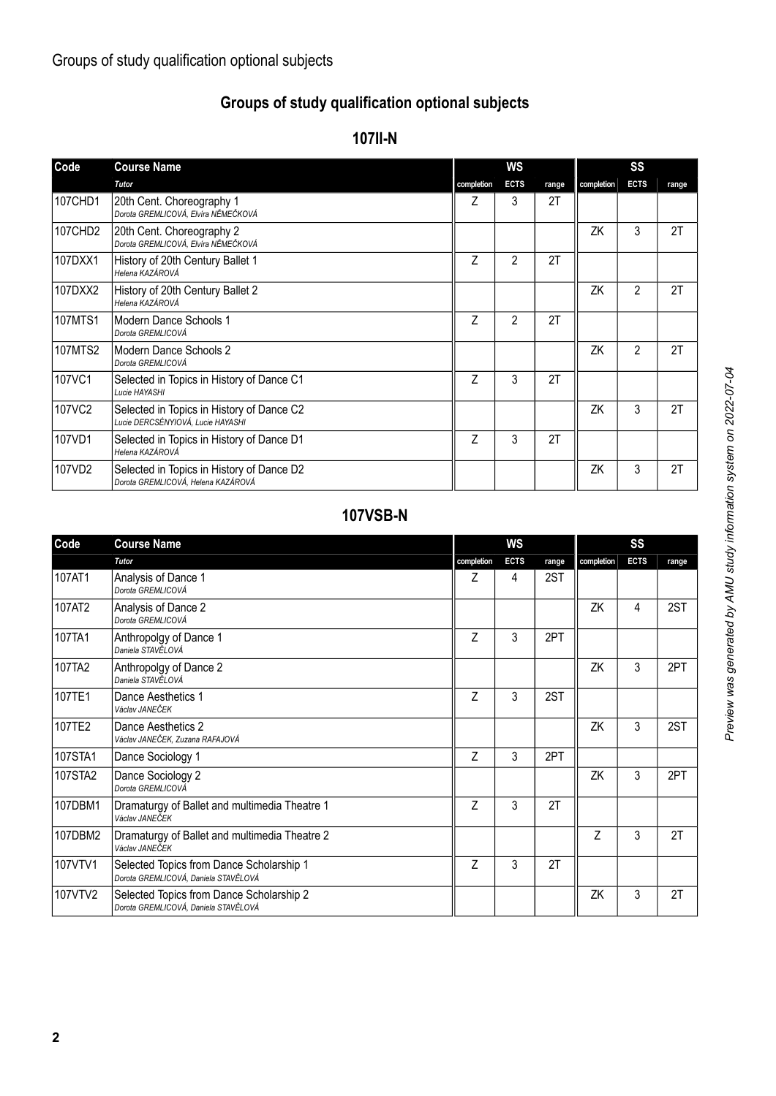### **Groups of study qualification optional subjects**

#### **107II-N**

| Code           | <b>Course Name</b>                                                              |            | WS             |       | SS         |                |       |  |
|----------------|---------------------------------------------------------------------------------|------------|----------------|-------|------------|----------------|-------|--|
|                | <b>Tutor</b>                                                                    | completion | <b>ECTS</b>    | range | completion | <b>ECTS</b>    | range |  |
| 107CHD1        | 20th Cent. Choreography 1<br>Dorota GREMLICOVÁ, Elvíra NĚMEČKOVÁ                | Z          | 3              | 2T    |            |                |       |  |
| 107CHD2        | 20th Cent. Choreography 2<br>Dorota GREMLICOVÁ, Elvíra NĚMEČKOVÁ                |            |                |       | ZK         | 3              | 2T    |  |
| 107DXX1        | History of 20th Century Ballet 1<br>Helena KAZÁROVÁ                             | Z          | $\overline{2}$ | 2T    |            |                |       |  |
| 107DXX2        | History of 20th Century Ballet 2<br>Helena KAZÁROVÁ                             |            |                |       | ZK         | $\overline{2}$ | 2T    |  |
| 107MTS1        | Modern Dance Schools 1<br>Dorota GREMLICOVÁ                                     | Z          | 2              | 2T    |            |                |       |  |
| <b>107MTS2</b> | Modern Dance Schools 2<br>Dorota GREMLICOVÁ                                     |            |                |       | ΖK         | $\overline{2}$ | 2T    |  |
| 107VC1         | Selected in Topics in History of Dance C1<br>Lucie HAYASHI                      | Z          | 3              | 2T    |            |                |       |  |
| 107VC2         | Selected in Topics in History of Dance C2<br>Lucie DERCSÉNYIOVÁ, Lucie HAYASHI  |            |                |       | ΖK         | 3              | 2T    |  |
| 107VD1         | Selected in Topics in History of Dance D1<br>Helena KAZÁROVÁ                    | Z          | 3              | 2T    |            |                |       |  |
| 107VD2         | Selected in Topics in History of Dance D2<br>Dorota GREMLICOVÁ, Helena KAZÁROVÁ |            |                |       | ZK         | 3              | 2T    |  |

### **107VSB-N**

| Code    | <b>Course Name</b>                                                               |            | WS          |       |            | SS          |       |
|---------|----------------------------------------------------------------------------------|------------|-------------|-------|------------|-------------|-------|
|         | Tutor                                                                            | completion | <b>ECTS</b> | range | completion | <b>ECTS</b> | range |
| 107AT1  | Analysis of Dance 1<br>Dorota GREMLICOVÁ                                         | Ζ          | 4           | 2ST   |            |             |       |
| 107AT2  | Analysis of Dance 2<br>Dorota GREMLICOVÁ                                         |            |             |       | ΖK         | 4           | 2ST   |
| 107TA1  | Anthropolgy of Dance 1<br>Daniela STAVĚLOVÁ                                      | Z          | 3           | 2PT   |            |             |       |
| 107TA2  | Anthropolgy of Dance 2<br>Daniela STAVĚLOVÁ                                      |            |             |       | ΖK         | 3           | 2PT   |
| 107TE1  | Dance Aesthetics 1<br>Václav JANEČEK                                             | Z          | 3           | 2ST   |            |             |       |
| 107TE2  | Dance Aesthetics 2<br>Václav JANEČEK, Zuzana RAFAJOVÁ                            |            |             |       | ZK         | 3           | 2ST   |
| 107STA1 | Dance Sociology 1                                                                | 7          | 3           | 2PT   |            |             |       |
| 107STA2 | Dance Sociology 2<br>Dorota GREMLICOVÁ                                           |            |             |       | ZK         | 3           | 2PT   |
| 107DBM1 | Dramaturgy of Ballet and multimedia Theatre 1<br>Václav JANEČEK                  | 7          | 3           | 2T    |            |             |       |
| 107DBM2 | Dramaturgy of Ballet and multimedia Theatre 2<br>Václav JANEČEK                  |            |             |       | 7          | 3           | 2T    |
| 107VTV1 | Selected Topics from Dance Scholarship 1<br>Dorota GREMLICOVÁ, Daniela STAVĚLOVÁ | 7          | 3           | 2T    |            |             |       |
| 107VTV2 | Selected Topics from Dance Scholarship 2<br>Dorota GREMLICOVÁ, Daniela STAVĚLOVÁ |            |             |       | ZK         | 3           | 2T    |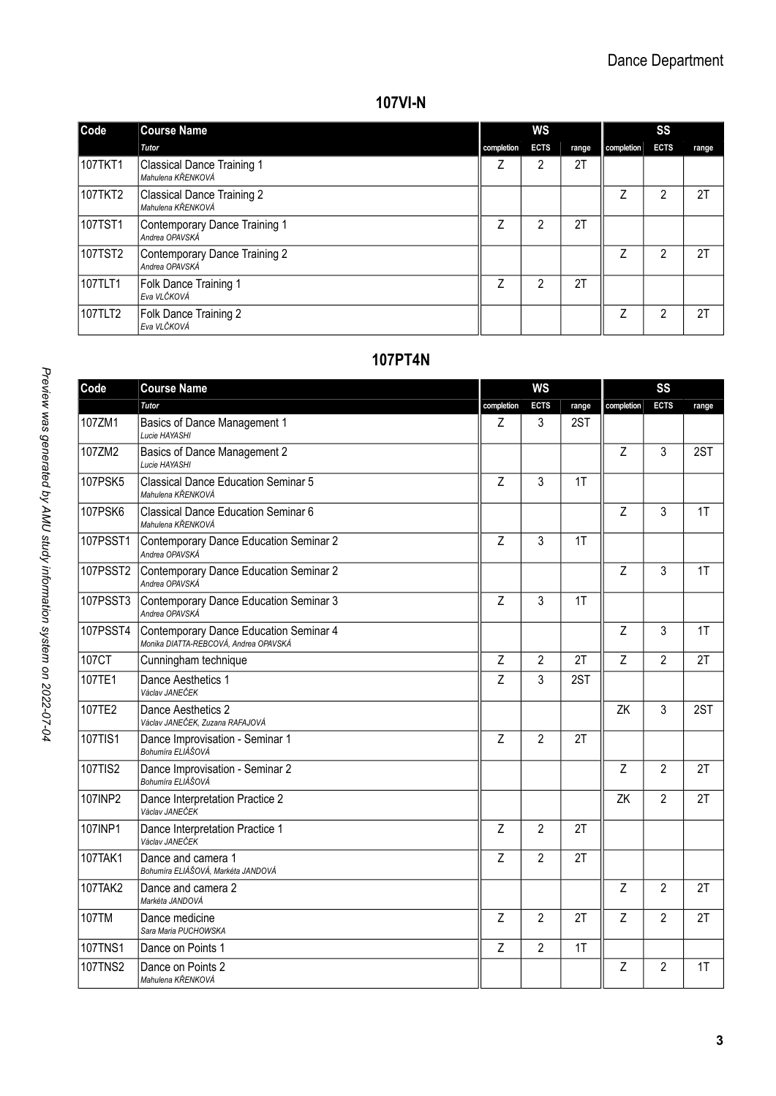#### **107VI-N**

| Code    | <b>Course Name</b>                              | ws         |             |       | SS         |             |       |  |
|---------|-------------------------------------------------|------------|-------------|-------|------------|-------------|-------|--|
|         | Tutor                                           | completion | <b>ECTS</b> | range | completion | <b>ECTS</b> | range |  |
| 107TKT1 | Classical Dance Training 1<br>Mahulena KŘENKOVÁ |            | 2           | 2T    |            |             |       |  |
| 107TKT2 | Classical Dance Training 2<br>Mahulena KŘENKOVÁ |            |             |       | ⇁          | 2           | 2T    |  |
| 107TST1 | Contemporary Dance Training 1<br>Andrea OPAVSKÁ | 7          | 2           | 2T    |            |             |       |  |
| 107TST2 | Contemporary Dance Training 2<br>Andrea OPAVSKÁ |            |             |       | 7          | 2           | 2T    |  |
| 107TLT1 | Folk Dance Training 1<br>Eva VLČKOVÁ            | 7          | 2           | 2T    |            |             |       |  |
| 107TLT2 | Folk Dance Training 2<br>Eva VLČKOVÁ            |            |             |       | 7          | 2           | 2T    |  |

## **107PT4N**

| Code            | <b>Course Name</b>                                                              |                | <b>WS</b>      |       |                | SS             |       |  |  |
|-----------------|---------------------------------------------------------------------------------|----------------|----------------|-------|----------------|----------------|-------|--|--|
|                 | Tutor                                                                           | completion     | <b>ECTS</b>    | range | completion     | <b>ECTS</b>    | range |  |  |
| 107ZM1          | Basics of Dance Management 1<br>Lucie HAYASHI                                   | Ζ              | 3              | 2ST   |                |                |       |  |  |
| 107ZM2          | Basics of Dance Management 2<br>Lucie HAYASHI                                   |                |                |       | Z              | 3              | 2ST   |  |  |
| 107PSK5         | Classical Dance Education Seminar 5<br>Mahulena KŘENKOVÁ                        | $\overline{z}$ | 3              | 1T    |                |                |       |  |  |
| 107PSK6         | Classical Dance Education Seminar 6<br>Mahulena KŘENKOVÁ                        |                |                |       | Z              | 3              | 1T    |  |  |
| 107PSST1        | Contemporary Dance Education Seminar 2<br>Andrea OPAVSKÁ                        | Z              | 3              | 1T    |                |                |       |  |  |
| 107PSST2        | Contemporary Dance Education Seminar 2<br>Andrea OPAVSKÁ                        |                |                |       | Z              | 3              | 1T    |  |  |
| 107PSST3        | Contemporary Dance Education Seminar 3<br>Andrea OPAVSKÁ                        | Z              | 3              | 1T    |                |                |       |  |  |
| <b>107PSST4</b> | Contemporary Dance Education Seminar 4<br>Monika DIATTA-REBCOVÁ, Andrea OPAVSKÁ |                |                |       | Z              | 3              | 1T    |  |  |
| 107CT           | Cunningham technique                                                            | Z              | $\overline{2}$ | 2T    | $\overline{z}$ | $\mathfrak{p}$ | 2T    |  |  |
| 107TE1          | Dance Aesthetics 1<br>Václav JANEČEK                                            | $\overline{z}$ | 3              | 2ST   |                |                |       |  |  |
| 107TE2          | Dance Aesthetics 2<br>Václav JANEČEK, Zuzana RAFAJOVÁ                           |                |                |       | ZK             | 3              | 2ST   |  |  |
| 107TIS1         | Dance Improvisation - Seminar 1<br>Bohumíra ELIÁŠOVÁ                            | Z              | $\overline{2}$ | 2T    |                |                |       |  |  |
| 107TIS2         | Dance Improvisation - Seminar 2<br>Bohumíra ELIÁŠOVÁ                            |                |                |       | Z              | $\mathfrak{p}$ | 2T    |  |  |
| 107INP2         | Dance Interpretation Practice 2<br>Václav JANEČEK                               |                |                |       | ZK             | $\overline{2}$ | 2T    |  |  |
| 107INP1         | Dance Interpretation Practice 1<br>Václav JANEČEK                               | Z              | $\mathfrak{p}$ | 2T    |                |                |       |  |  |
| 107TAK1         | Dance and camera 1<br>Bohumíra ELIÁŠOVÁ, Markéta JANDOVÁ                        | Z              | $\overline{2}$ | 2T    |                |                |       |  |  |
| 107TAK2         | Dance and camera 2<br>Markéta JANDOVÁ                                           |                |                |       | $\overline{z}$ | $\mathfrak{p}$ | 2T    |  |  |
| 107TM           | Dance medicine<br>Sara Maria PUCHOWSKA                                          | Z              | $\overline{2}$ | 2T    | Z              | $\overline{2}$ | 2T    |  |  |
| <b>107TNS1</b>  | Dance on Points 1                                                               | Z              | $\overline{2}$ | 1T    |                |                |       |  |  |
| <b>107TNS2</b>  | Dance on Points 2<br>Mahulena KŘENKOVÁ                                          |                |                |       | Z              | $\overline{2}$ | 1T    |  |  |